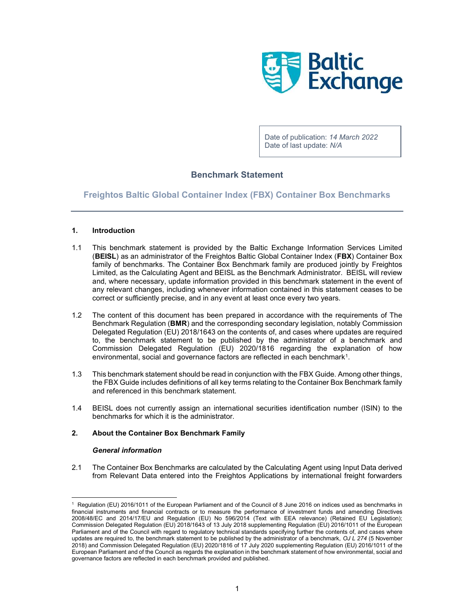

Date of publication: 14 March 2022 Date of last update: N/A

# Benchmark Statement

Freightos Baltic Global Container Index (FBX) Container Box Benchmarks

## 1. Introduction

- 1.1 This benchmark statement is provided by the Baltic Exchange Information Services Limited (BEISL) as an administrator of the Freightos Baltic Global Container Index (FBX) Container Box family of benchmarks. The Container Box Benchmark family are produced jointly by Freightos Limited, as the Calculating Agent and BEISL as the Benchmark Administrator. BEISL will review and, where necessary, update information provided in this benchmark statement in the event of any relevant changes, including whenever information contained in this statement ceases to be correct or sufficiently precise, and in any event at least once every two years.
- 1.2 The content of this document has been prepared in accordance with the requirements of The Benchmark Regulation (BMR) and the corresponding secondary legislation, notably Commission Delegated Regulation (EU) 2018/1643 on the contents of, and cases where updates are required to, the benchmark statement to be published by the administrator of a benchmark and Commission Delegated Regulation (EU) 2020/1816 regarding the explanation of how environmental, social and governance factors are reflected in each benchmark<sup>1</sup>.
- 1.3 This benchmark statement should be read in conjunction with the FBX Guide. Among other things, the FBX Guide includes definitions of all key terms relating to the Container Box Benchmark family and referenced in this benchmark statement.
- 1.4 BEISL does not currently assign an international securities identification number (ISIN) to the benchmarks for which it is the administrator.

## 2. About the Container Box Benchmark Family

## General information

2.1 The Container Box Benchmarks are calculated by the Calculating Agent using Input Data derived from Relevant Data entered into the Freightos Applications by international freight forwarders

<sup>1</sup> Regulation (EU) 2016/1011 of the European Parliament and of the Council of 8 June 2016 on indices used as benchmarks in financial instruments and financial contracts or to measure the performance of investment funds and amending Directives 2008/48/EC and 2014/17/EU and Regulation (EU) No 596/2014 (Text with EEA relevance) (Retained EU Legislation); Commission Delegated Regulation (EU) 2018/1643 of 13 July 2018 supplementing Regulation (EU) 2016/1011 of the European Parliament and of the Council with regard to regulatory technical standards specifying further the contents of, and cases where updates are required to, the benchmark statement to be published by the administrator of a benchmark, OJ L 274 (5 November 2018) and Commission Delegated Regulation (EU) 2020/1816 of 17 July 2020 supplementing Regulation (EU) 2016/1011 of the European Parliament and of the Council as regards the explanation in the benchmark statement of how environmental, social and governance factors are reflected in each benchmark provided and published.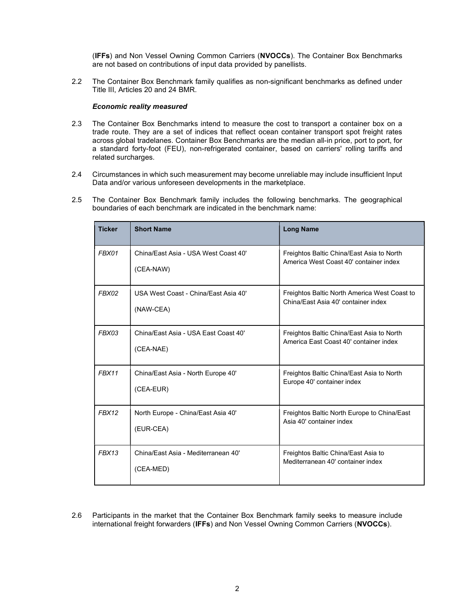(IFFs) and Non Vessel Owning Common Carriers (NVOCCs). The Container Box Benchmarks are not based on contributions of input data provided by panellists.

2.2 The Container Box Benchmark family qualifies as non-significant benchmarks as defined under Title III, Articles 20 and 24 BMR.

#### Economic reality measured

- 2.3 The Container Box Benchmarks intend to measure the cost to transport a container box on a trade route. They are a set of indices that reflect ocean container transport spot freight rates across global tradelanes. Container Box Benchmarks are the median all-in price, port to port, for a standard forty-foot (FEU), non-refrigerated container, based on carriers' rolling tariffs and related surcharges.
- 2.4 Circumstances in which such measurement may become unreliable may include insufficient Input Data and/or various unforeseen developments in the marketplace.
- 2.5 The Container Box Benchmark family includes the following benchmarks. The geographical boundaries of each benchmark are indicated in the benchmark name:

| <b>Ticker</b> | <b>Short Name</b>                                 | <b>Long Name</b>                                                                    |
|---------------|---------------------------------------------------|-------------------------------------------------------------------------------------|
| FBX01         | China/East Asia - USA West Coast 40'<br>(CEA-NAW) | Freightos Baltic China/East Asia to North<br>America West Coast 40' container index |
| FBX02         | USA West Coast - China/Fast Asia 40'<br>(NAW-CEA) | Freightos Baltic North America West Coast to<br>China/East Asia 40' container index |
| FBX03         | China/East Asia - USA East Coast 40'<br>(CEA-NAE) | Freightos Baltic China/East Asia to North<br>America East Coast 40' container index |
| FBX11         | China/East Asia - North Europe 40'<br>(CEA-EUR)   | Freightos Baltic China/East Asia to North<br>Europe 40' container index             |
| FBX12         | North Europe - China/East Asia 40'<br>(EUR-CEA)   | Freightos Baltic North Europe to China/East<br>Asia 40' container index             |
| FRX13         | China/East Asia - Mediterranean 40'<br>(CEA-MED)  | Freightos Baltic China/East Asia to<br>Mediterranean 40' container index            |

2.6 Participants in the market that the Container Box Benchmark family seeks to measure include international freight forwarders (IFFs) and Non Vessel Owning Common Carriers (NVOCCs).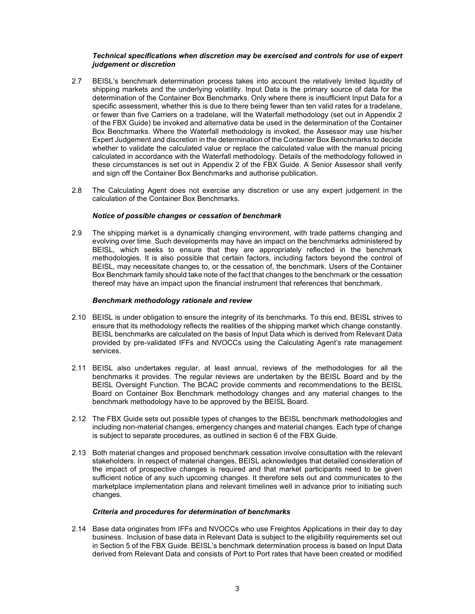#### Technical specifications when discretion may be exercised and controls for use of expert judgement or discretion

- 2.7 BEISL's benchmark determination process takes into account the relatively limited liquidity of shipping markets and the underlying volatility. Input Data is the primary source of data for the determination of the Container Box Benchmarks. Only where there is insufficient Input Data for a specific assessment, whether this is due to there being fewer than ten valid rates for a tradelane, or fewer than five Carriers on a tradelane, will the Waterfall methodology (set out in Appendix 2 of the FBX Guide) be invoked and alternative data be used in the determination of the Container Box Benchmarks. Where the Waterfall methodology is invoked, the Assessor may use his/her Expert Judgement and discretion in the determination of the Container Box Benchmarks to decide whether to validate the calculated value or replace the calculated value with the manual pricing calculated in accordance with the Waterfall methodology. Details of the methodology followed in these circumstances is set out in Appendix 2 of the FBX Guide. A Senior Assessor shall verify and sign off the Container Box Benchmarks and authorise publication.
- 2.8 The Calculating Agent does not exercise any discretion or use any expert judgement in the calculation of the Container Box Benchmarks.

#### Notice of possible changes or cessation of benchmark

2.9 The shipping market is a dynamically changing environment, with trade patterns changing and evolving over time. Such developments may have an impact on the benchmarks administered by BEISL, which seeks to ensure that they are appropriately reflected in the benchmark methodologies. It is also possible that certain factors, including factors beyond the control of BEISL, may necessitate changes to, or the cessation of, the benchmark. Users of the Container Box Benchmark family should take note of the fact that changes to the benchmark or the cessation thereof may have an impact upon the financial instrument that references that benchmark.

#### Benchmark methodology rationale and review

- 2.10 BEISL is under obligation to ensure the integrity of its benchmarks. To this end, BEISL strives to ensure that its methodology reflects the realities of the shipping market which change constantly. BEISL benchmarks are calculated on the basis of Input Data which is derived from Relevant Data provided by pre-validated IFFs and NVOCCs using the Calculating Agent's rate management services.
- 2.11 BEISL also undertakes regular, at least annual, reviews of the methodologies for all the benchmarks it provides. The regular reviews are undertaken by the BEISL Board and by the BEISL Oversight Function. The BCAC provide comments and recommendations to the BEISL Board on Container Box Benchmark methodology changes and any material changes to the benchmark methodology have to be approved by the BEISL Board.
- 2.12 The FBX Guide sets out possible types of changes to the BEISL benchmark methodologies and including non-material changes, emergency changes and material changes. Each type of change is subject to separate procedures, as outlined in section 6 of the FBX Guide.
- 2.13 Both material changes and proposed benchmark cessation involve consultation with the relevant stakeholders. In respect of material changes, BEISL acknowledges that detailed consideration of the impact of prospective changes is required and that market participants need to be given sufficient notice of any such upcoming changes. It therefore sets out and communicates to the marketplace implementation plans and relevant timelines well in advance prior to initiating such changes.

#### Criteria and procedures for determination of benchmarks

2.14 Base data originates from IFFs and NVOCCs who use Freightos Applications in their day to day business. Inclusion of base data in Relevant Data is subject to the eligibility requirements set out in Section 5 of the FBX Guide. BEISL's benchmark determination process is based on Input Data derived from Relevant Data and consists of Port to Port rates that have been created or modified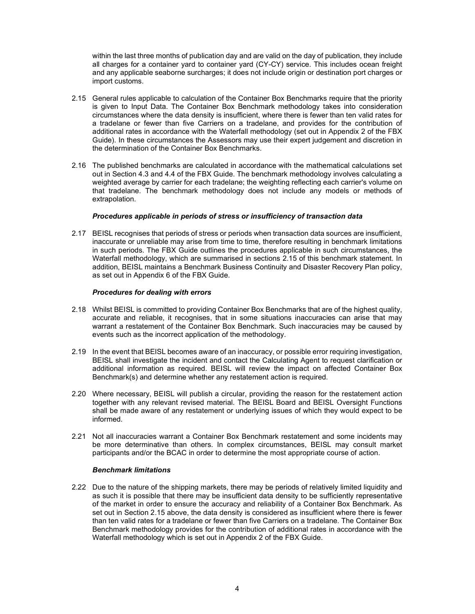within the last three months of publication day and are valid on the day of publication, they include all charges for a container yard to container yard (CY-CY) service. This includes ocean freight and any applicable seaborne surcharges; it does not include origin or destination port charges or import customs.

- 2.15 General rules applicable to calculation of the Container Box Benchmarks require that the priority is given to Input Data. The Container Box Benchmark methodology takes into consideration circumstances where the data density is insufficient, where there is fewer than ten valid rates for a tradelane or fewer than five Carriers on a tradelane, and provides for the contribution of additional rates in accordance with the Waterfall methodology (set out in Appendix 2 of the FBX Guide). In these circumstances the Assessors may use their expert judgement and discretion in the determination of the Container Box Benchmarks.
- 2.16 The published benchmarks are calculated in accordance with the mathematical calculations set out in Section 4.3 and 4.4 of the FBX Guide. The benchmark methodology involves calculating a weighted average by carrier for each tradelane; the weighting reflecting each carrier's volume on that tradelane. The benchmark methodology does not include any models or methods of extrapolation.

#### Procedures applicable in periods of stress or insufficiency of transaction data

2.17 BEISL recognises that periods of stress or periods when transaction data sources are insufficient, inaccurate or unreliable may arise from time to time, therefore resulting in benchmark limitations in such periods. The FBX Guide outlines the procedures applicable in such circumstances, the Waterfall methodology, which are summarised in sections 2.15 of this benchmark statement. In addition, BEISL maintains a Benchmark Business Continuity and Disaster Recovery Plan policy, as set out in Appendix 6 of the FBX Guide.

#### Procedures for dealing with errors

- 2.18 Whilst BEISL is committed to providing Container Box Benchmarks that are of the highest quality, accurate and reliable, it recognises, that in some situations inaccuracies can arise that may warrant a restatement of the Container Box Benchmark. Such inaccuracies may be caused by events such as the incorrect application of the methodology.
- 2.19 In the event that BEISL becomes aware of an inaccuracy, or possible error requiring investigation, BEISL shall investigate the incident and contact the Calculating Agent to request clarification or additional information as required. BEISL will review the impact on affected Container Box Benchmark(s) and determine whether any restatement action is required.
- 2.20 Where necessary, BEISL will publish a circular, providing the reason for the restatement action together with any relevant revised material. The BEISL Board and BEISL Oversight Functions shall be made aware of any restatement or underlying issues of which they would expect to be informed.
- 2.21 Not all inaccuracies warrant a Container Box Benchmark restatement and some incidents may be more determinative than others. In complex circumstances, BEISL may consult market participants and/or the BCAC in order to determine the most appropriate course of action.

#### Benchmark limitations

2.22 Due to the nature of the shipping markets, there may be periods of relatively limited liquidity and as such it is possible that there may be insufficient data density to be sufficiently representative of the market in order to ensure the accuracy and reliability of a Container Box Benchmark. As set out in Section 2.15 above, the data density is considered as insufficient where there is fewer than ten valid rates for a tradelane or fewer than five Carriers on a tradelane. The Container Box Benchmark methodology provides for the contribution of additional rates in accordance with the Waterfall methodology which is set out in Appendix 2 of the FBX Guide.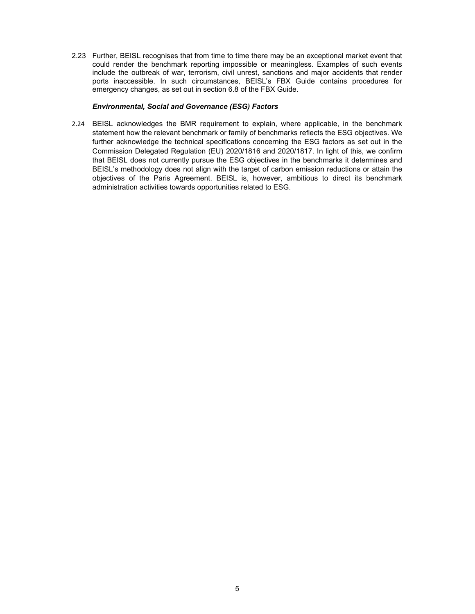2.23 Further, BEISL recognises that from time to time there may be an exceptional market event that could render the benchmark reporting impossible or meaningless. Examples of such events include the outbreak of war, terrorism, civil unrest, sanctions and major accidents that render ports inaccessible. In such circumstances, BEISL's FBX Guide contains procedures for emergency changes, as set out in section 6.8 of the FBX Guide.

#### Environmental, Social and Governance (ESG) Factors

2.24 BEISL acknowledges the BMR requirement to explain, where applicable, in the benchmark statement how the relevant benchmark or family of benchmarks reflects the ESG objectives. We further acknowledge the technical specifications concerning the ESG factors as set out in the Commission Delegated Regulation (EU) 2020/1816 and 2020/1817. In light of this, we confirm that BEISL does not currently pursue the ESG objectives in the benchmarks it determines and BEISL's methodology does not align with the target of carbon emission reductions or attain the objectives of the Paris Agreement. BEISL is, however, ambitious to direct its benchmark administration activities towards opportunities related to ESG.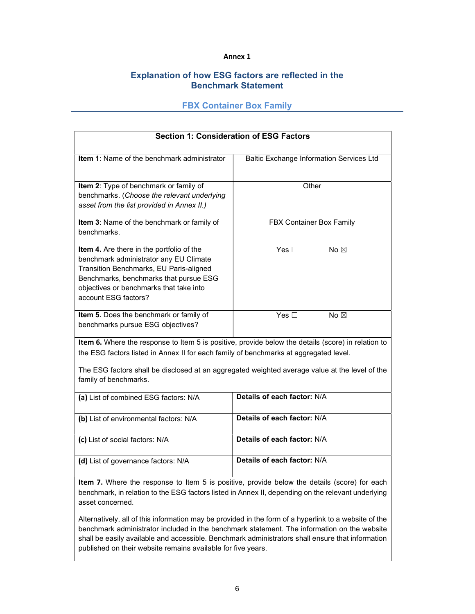## Annex 1

# Explanation of how ESG factors are reflected in the Benchmark Statement

## FBX Container Box Family

| <b>Section 1: Consideration of ESG Factors</b>                                                                                                                                                                                                                                                                         |                                                 |  |  |
|------------------------------------------------------------------------------------------------------------------------------------------------------------------------------------------------------------------------------------------------------------------------------------------------------------------------|-------------------------------------------------|--|--|
| Item 1: Name of the benchmark administrator                                                                                                                                                                                                                                                                            | <b>Baltic Exchange Information Services Ltd</b> |  |  |
| Item 2: Type of benchmark or family of<br>benchmarks. (Choose the relevant underlying<br>asset from the list provided in Annex II.)                                                                                                                                                                                    | Other                                           |  |  |
| Item 3: Name of the benchmark or family of<br>benchmarks.                                                                                                                                                                                                                                                              | FBX Container Box Family                        |  |  |
| Item 4. Are there in the portfolio of the<br>benchmark administrator any EU Climate<br>Transition Benchmarks, EU Paris-aligned<br>Benchmarks, benchmarks that pursue ESG<br>objectives or benchmarks that take into<br>account ESG factors?                                                                            | Yes $\overline{\Box}$<br>No $\boxtimes$         |  |  |
| Item 5. Does the benchmark or family of<br>benchmarks pursue ESG objectives?                                                                                                                                                                                                                                           | Yes $\square$<br>No $\boxtimes$                 |  |  |
| Item 6. Where the response to Item 5 is positive, provide below the details (score) in relation to<br>the ESG factors listed in Annex II for each family of benchmarks at aggregated level.<br>The ESG factors shall be disclosed at an aggregated weighted average value at the level of the<br>family of benchmarks. |                                                 |  |  |
| (a) List of combined ESG factors: N/A                                                                                                                                                                                                                                                                                  | Details of each factor: N/A                     |  |  |
| (b) List of environmental factors: N/A                                                                                                                                                                                                                                                                                 | Details of each factor: N/A                     |  |  |
| (c) List of social factors: N/A                                                                                                                                                                                                                                                                                        | Details of each factor: N/A                     |  |  |
| (d) List of governance factors: N/A                                                                                                                                                                                                                                                                                    | Details of each factor: N/A                     |  |  |
| Item 7. Where the response to Item 5 is positive, provide below the details (score) for each                                                                                                                                                                                                                           |                                                 |  |  |

benchmark, in relation to the ESG factors listed in Annex II, depending on the relevant underlying asset concerned.

Alternatively, all of this information may be provided in the form of a hyperlink to a website of the benchmark administrator included in the benchmark statement. The information on the website shall be easily available and accessible. Benchmark administrators shall ensure that information published on their website remains available for five years.